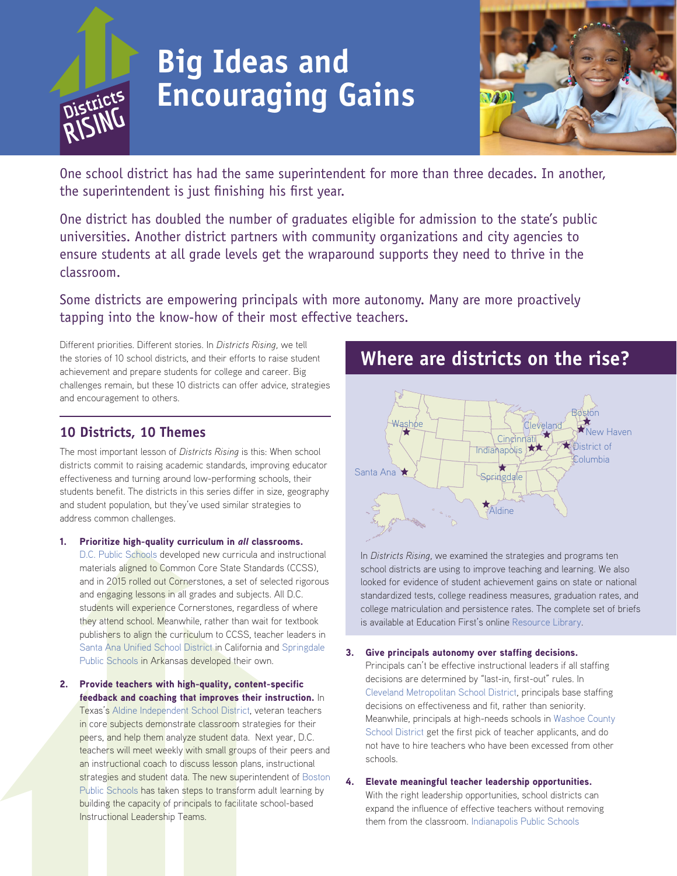

# **Big Ideas and Encouraging Gains**



One school district has had the same superintendent for more than three decades. In another, the superintendent is just finishing his first year.

One district has doubled the number of graduates eligible for admission to the state's public universities. Another district partners with community organizations and city agencies to ensure students at all grade levels get the wraparound supports they need to thrive in the classroom.

Some districts are empowering principals with more autonomy. Many are more proactively tapping into the know-how of their most effective teachers.

Different priorities. Different stories. In *Districts Rising,* we tell the stories of 10 school districts, and their efforts to raise student achievement and prepare students for college and career. Big challenges remain, but these 10 districts can offer advice, strategies and encouragement to others.

### **10 Districts, 10 Themes**

The most important lesson of *Districts Rising* is this: When school districts commit to raising academic standards, improving educator effectiveness and turning around low-performing schools, their students benefit. The districts in this series differ in size, geography and student population, but they've used similar strategies to address common challenges.

1. Prioritize high-quality curriculum in *all* classrooms.

[D.C. Public Schools](http://education-first.com/library/publication/districts-rising-dc-public-schools/) developed new curricula and instructional materials aligned to Common Core State Standards (CCSS), and in 2015 rolled out Cornerstones, a set of selected rigorous and engaging lessons in all grades and subjects. All D.C. students will experience Cornerstones, regardless of where they attend school. Meanwhile, rather than wait for textbook publishers to align the curriculum to CCSS, teacher leaders in [Santa Ana Unified School District](http://education-first.com/library/publication/districts-rising-santa-ana-unified-school-district/) in California and [Springdale](http://education-first.com/library/publication/districts-rising-springdale-public-schools/)  [Public Schools](http://education-first.com/library/publication/districts-rising-springdale-public-schools/) in Arkansas developed their own.

2. Provide teachers with high-quality, content-specific feedback and coaching that improves their instruction. In Texas's [Aldine Independent School District,](http://education-first.com/library/publication/districts-rising-aldine-independent-school-district-pursuing-equity-two-decades-counting/) veteran teachers in core subjects demonstrate classroom strategies for their peers, and help them analyze student data. Next year, D.C. teachers will meet weekly with small groups of their peers and an instructional coach to discuss lesson plans, instructional strategies and student data. The new superintendent of Boston [Public Schools](http://education-first.com/library/publication/districts-rising-boston-public-schools/) has taken steps to transform adult learning by building the capacity of principals to facilitate school-based Instructional Leadership Teams.

**Where are districts on the rise?**



In *Districts Rising,* we examined the strategies and programs ten school districts are using to improve teaching and learning. We also looked for evidence of student achievement gains on state or national standardized tests, college readiness measures, graduation rates, and college matriculation and persistence rates. The complete set of briefs is available at Education First's online [Resource Library.](http://education-first.com/library/publication/districts-rising-briefs/)

#### 3. Give principals autonomy over staffing decisions.

Principals can't be effective instructional leaders if all staffing decisions are determined by "last-in, first-out" rules. In [Cleveland Metropolitan School District](http://education-first.com/library/publication/districts-rising-cleveland-metropolitan-school-distric/), principals base staffing decisions on effectiveness and fit, rather than seniority. Meanwhile, principals at high-needs schools in [Washoe County](http://education-first.com/library/publication/districts-rising-washoe-county-school-district/)  [School District](http://education-first.com/library/publication/districts-rising-washoe-county-school-district/) get the first pick of teacher applicants, and do not have to hire teachers who have been excessed from other schools.

#### 4. Elevate meaningful teacher leadership opportunities.

With the right leadership opportunities, school districts can expand the influence of effective teachers without removing them from the classroom. [Indianapolis Public Schools](http://education-first.com/library/publication/districts-rising-indianapolis-public-schools/)